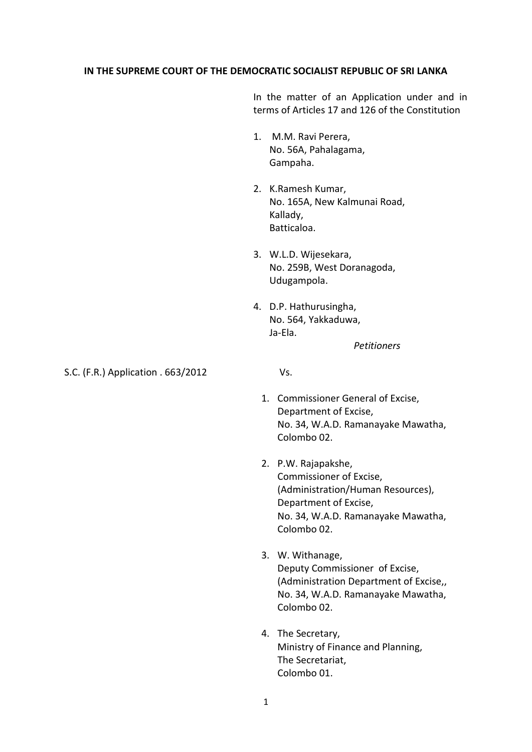## **IN THE SUPREME COURT OF THE DEMOCRATIC SOCIALIST REPUBLIC OF SRI LANKA**

In the matter of an Application under and in terms of Articles 17 and 126 of the Constitution

- 1. M.M. Ravi Perera, No. 56A, Pahalagama, Gampaha.
- 2. K.Ramesh Kumar, No. 165A, New Kalmunai Road, Kallady, Batticaloa.
- 3. W.L.D. Wijesekara, No. 259B, West Doranagoda, Udugampola.
- 4. D.P. Hathurusingha, No. 564, Yakkaduwa, Ja-Ela.

*Petitioners*

S.C. (F.R.) Application . 663/2012 Vs.

- 1. Commissioner General of Excise, Department of Excise, No. 34, W.A.D. Ramanayake Mawatha, Colombo 02.
- 2. P.W. Rajapakshe, Commissioner of Excise, (Administration/Human Resources), Department of Excise, No. 34, W.A.D. Ramanayake Mawatha, Colombo 02.
- 3. W. Withanage, Deputy Commissioner of Excise, (Administration Department of Excise,, No. 34, W.A.D. Ramanayake Mawatha, Colombo 02.
- 4. The Secretary, Ministry of Finance and Planning, The Secretariat, Colombo 01.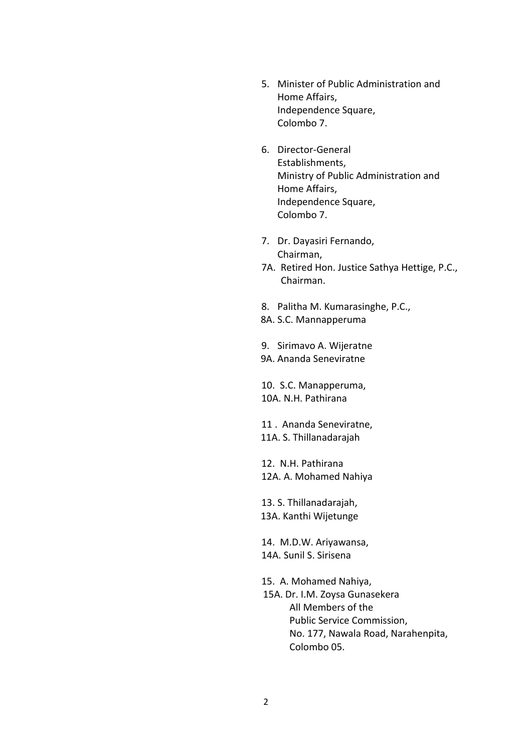- 5. Minister of Public Administration and Home Affairs, Independence Square, Colombo 7.
- 6. Director-General Establishments, Ministry of Public Administration and Home Affairs, Independence Square, Colombo 7.
- 7. Dr. Dayasiri Fernando, Chairman,
- 7A. Retired Hon. Justice Sathya Hettige, P.C., Chairman.
- 8. Palitha M. Kumarasinghe, P.C.,
- 8A. S.C. Mannapperuma

9. Sirimavo A. Wijeratne 9A. Ananda Seneviratne

10. S.C. Manapperuma, 10A. N.H. Pathirana

 11 . Ananda Seneviratne, 11A. S. Thillanadarajah

12. N.H. Pathirana 12A. A. Mohamed Nahiya

13. S. Thillanadarajah, 13A. Kanthi Wijetunge

14. M.D.W. Ariyawansa, 14A. Sunil S. Sirisena

15. A. Mohamed Nahiya, 15A. Dr. I.M. Zoysa Gunasekera All Members of the Public Service Commission, No. 177, Nawala Road, Narahenpita, Colombo 05.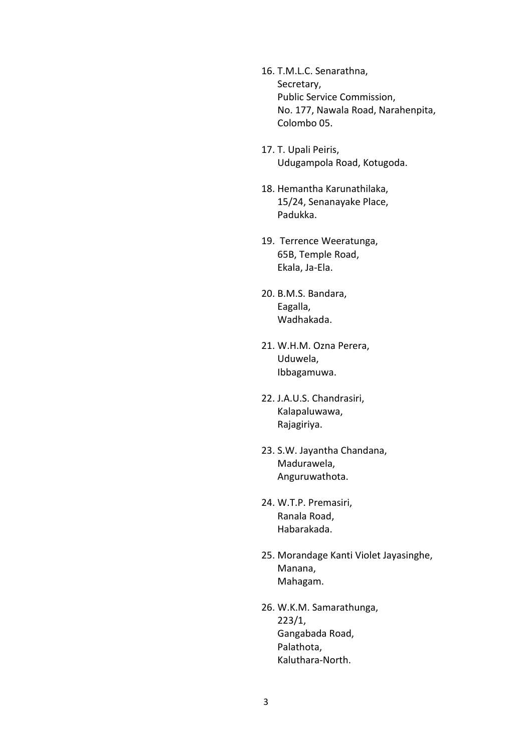- 16. T.M.L.C. Senarathna, Secretary, Public Service Commission, No. 177, Nawala Road, Narahenpita, Colombo 05.
- 17. T. Upali Peiris, Udugampola Road, Kotugoda.
- 18. Hemantha Karunathilaka, 15/24, Senanayake Place, Padukka.
- 19. Terrence Weeratunga, 65B, Temple Road, Ekala, Ja-Ela.
- 20. B.M.S. Bandara, Eagalla, Wadhakada.
- 21. W.H.M. Ozna Perera, Uduwela, Ibbagamuwa.
- 22. J.A.U.S. Chandrasiri, Kalapaluwawa, Rajagiriya.
- 23. S.W. Jayantha Chandana, Madurawela, Anguruwathota.
- 24. W.T.P. Premasiri, Ranala Road, Habarakada.
- 25. Morandage Kanti Violet Jayasinghe, Manana, Mahagam.
- 26. W.K.M. Samarathunga, 223/1, Gangabada Road, Palathota, Kaluthara-North.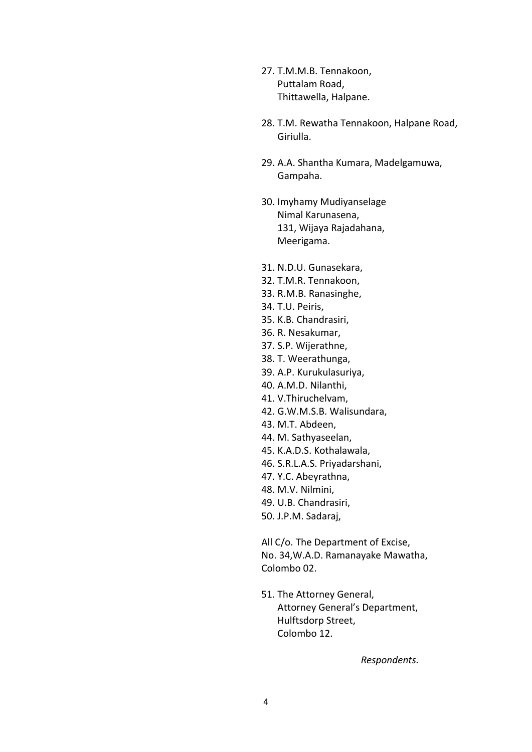- 27. T.M.M.B. Tennakoon, Puttalam Road, Thittawella, Halpane.
- 28. T.M. Rewatha Tennakoon, Halpane Road, Giriulla.
- 29. A.A. Shantha Kumara, Madelgamuwa, Gampaha.
- 30. Imyhamy Mudiyanselage Nimal Karunasena, 131, Wijaya Rajadahana, Meerigama.
- 31. N.D.U. Gunasekara,
- 32. T.M.R. Tennakoon,
- 33. R.M.B. Ranasinghe,
- 34. T.U. Peiris,
- 35. K.B. Chandrasiri,
- 36. R. Nesakumar,
- 37. S.P. Wijerathne,
- 38. T. Weerathunga,
- 39. A.P. Kurukulasuriya,
- 40. A.M.D. Nilanthi,
- 41. V.Thiruchelvam,
- 42. G.W.M.S.B. Walisundara,
- 43. M.T. Abdeen,
- 44. M. Sathyaseelan,
- 45. K.A.D.S. Kothalawala,
- 46. S.R.L.A.S. Priyadarshani,
- 47. Y.C. Abeyrathna,
- 48. M.V. Nilmini,
- 49. U.B. Chandrasiri,
- 50. J.P.M. Sadaraj,

All C/o. The Department of Excise, No. 34,W.A.D. Ramanayake Mawatha, Colombo 02.

51. The Attorney General, Attorney General's Department, Hulftsdorp Street, Colombo 12.

 *Respondents.*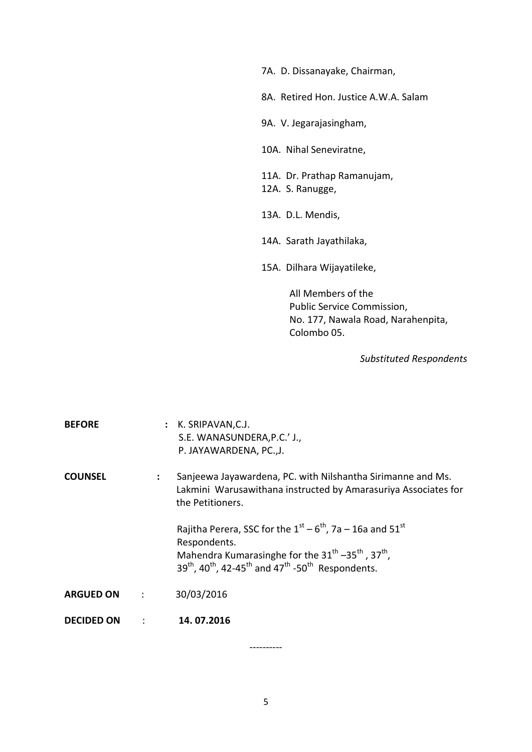7A. D. Dissanayake, Chairman, 8A. Retired Hon. Justice A.W.A. Salam 9A. V. Jegarajasingham, 10A. Nihal Seneviratne, 11A. Dr. Prathap Ramanujam, 12A. S. Ranugge, 13A. D.L. Mendis, 14A. Sarath Jayathilaka, 15A. Dilhara Wijayatileke, All Members of the Public Service Commission, No. 177, Nawala Road, Narahenpita,

Colombo 05.

 *Substituted Respondents*

| <b>BEFORE</b>                 |                | : K. SRIPAVAN, C.J.<br>S.E. WANASUNDERA, P.C.' J.,<br>P. JAYAWARDENA, PC., J.                                                                                                                                                                                                                      |
|-------------------------------|----------------|----------------------------------------------------------------------------------------------------------------------------------------------------------------------------------------------------------------------------------------------------------------------------------------------------|
| <b>COUNSEL</b>                | $\ddot{\cdot}$ | Sanjeewa Jayawardena, PC. with Nilshantha Sirimanne and Ms.<br>Lakmini Warusawithana instructed by Amarasuriya Associates for<br>the Petitioners.                                                                                                                                                  |
|                               |                | Rajitha Perera, SSC for the $1^{st}$ – $6^{th}$ , 7a – 16a and 51 <sup>st</sup><br>Respondents.<br>Mahendra Kumarasinghe for the 31 <sup>th</sup> -35 <sup>th</sup> , 37 <sup>th</sup> ,<br>$39^{th}$ , 40 <sup>th</sup> , 42-45 <sup>th</sup> and 47 <sup>th</sup> -50 <sup>th</sup> Respondents. |
| <b>ARGUED ON</b><br>$\sim 10$ |                | 30/03/2016                                                                                                                                                                                                                                                                                         |
| <b>DECIDED ON</b>             | $\cdot$ :      | 14.07.2016                                                                                                                                                                                                                                                                                         |

5

----------